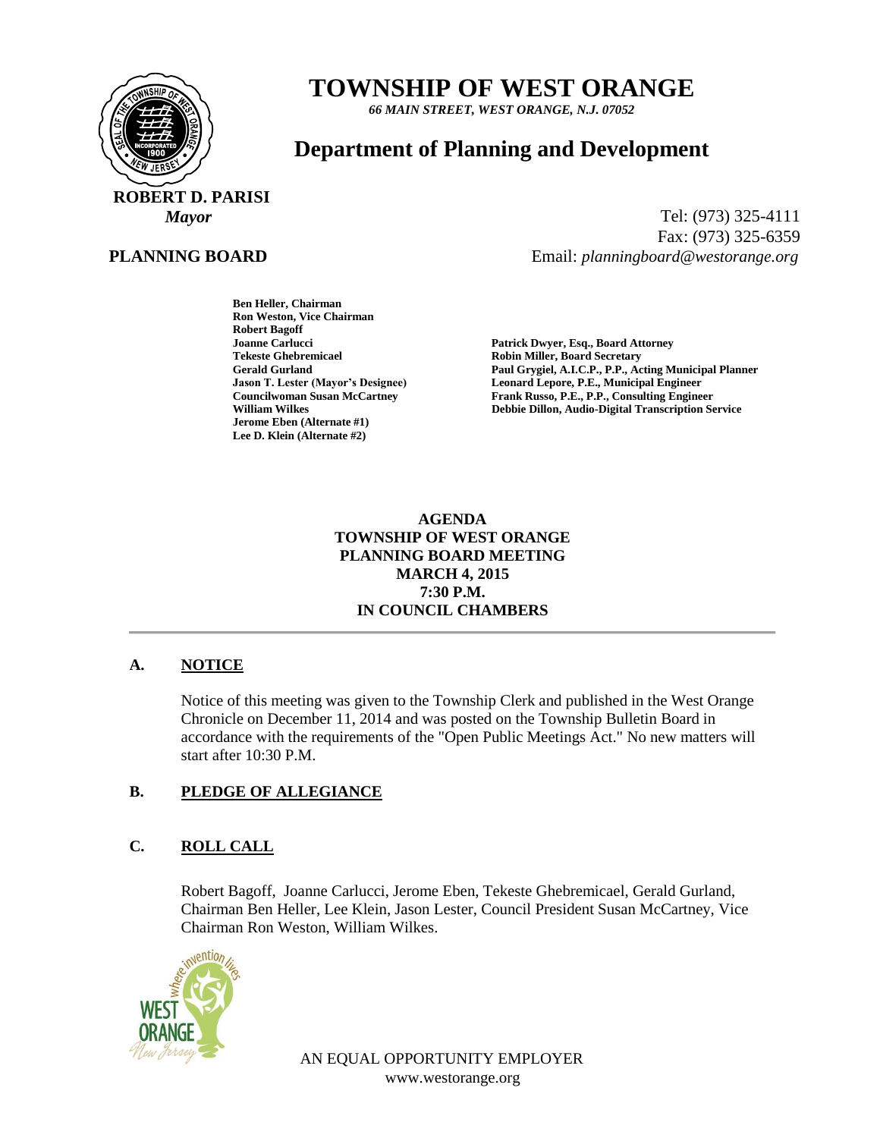

# **TOWNSHIP OF WEST ORANGE**

*66 MAIN STREET, WEST ORANGE, N.J. 07052*

# **Department of Planning and Development**

 **ROBERT D. PARISI**

#### **PLANNING BOARD**

*Mayor* Tel: (973) 325-4111 Fax: (973) 325-6359 Email: *planningboard@westorange.org*

> **Ben Heller, Chairman Ron Weston, Vice Chairman Robert Bagoff Tekeste Ghebremicael and Secretary Robin Miller, Board Secretary<br>
> Robin Miller, Board Secretary<br>
> Paul Grysiel, A.I.C.P., P.P., Ac Jerome Eben (Alternate #1) Lee D. Klein (Alternate #2)**

**Joanne Carlucci Patrick Dwyer, Esq., Board Attorney** Paul Grygiel, A.I.C.P., P.P., Acting Municipal Planner **Jason T. Lester (Mayor's Designee) Leonard Lepore, P.E., Municipal Engineer Councilwoman Susan McCartney Frank Russo, P.E., P.P., Consulting Engineer<br>
William Wilkes<br>
Pebbie Dillon, Audio-Digital Transcription Se Debbie Dillon, Audio-Digital Transcription Service** 

> **AGENDA TOWNSHIP OF WEST ORANGE PLANNING BOARD MEETING MARCH 4, 2015 7:30 P.M. IN COUNCIL CHAMBERS**

# **A. NOTICE**

Notice of this meeting was given to the Township Clerk and published in the West Orange Chronicle on December 11, 2014 and was posted on the Township Bulletin Board in accordance with the requirements of the "Open Public Meetings Act." No new matters will start after 10:30 P.M.

#### **B. PLEDGE OF ALLEGIANCE**

#### **C. ROLL CALL**

Robert Bagoff, Joanne Carlucci, Jerome Eben, Tekeste Ghebremicael, Gerald Gurland, Chairman Ben Heller, Lee Klein, Jason Lester, Council President Susan McCartney, Vice Chairman Ron Weston, William Wilkes.



AN EQUAL OPPORTUNITY EMPLOYER www.westorange.org